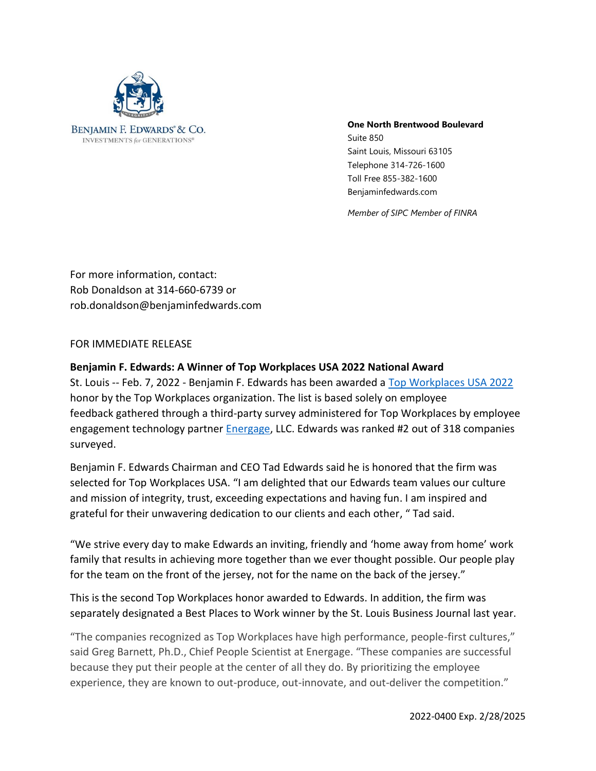

## **One North Brentwood Boulevard**

Suite 850 Saint Louis, Missouri 63105 Telephone 314-726-1600 Toll Free 855-382-1600 Benjaminfedwards.com

*Member of SIPC Member of FINRA*

For more information, contact: Rob Donaldson at 314-660-6739 or rob.donaldson@benjaminfedwards.com

FOR IMMEDIATE RELEASE

## **Benjamin F. Edwards: A Winner of Top Workplaces USA 2022 National Award**

St. Louis -- Feb. 7, 2022 - Benjamin F. Edwards has been awarded a [Top Workplaces USA 2022](https://topworkplaces.com/award/top-workplaces-usa/2022/500-999/?page=1) honor by the Top Workplaces organization. The list is based solely on employee feedback gathered through a third-party survey administered for Top Workplaces by employee engagement technology partner [Energage,](http://www.energage.com/) LLC. Edwards was ranked #2 out of 318 companies surveyed.

Benjamin F. Edwards Chairman and CEO Tad Edwards said he is honored that the firm was selected for Top Workplaces USA. "I am delighted that our Edwards team values our culture and mission of integrity, trust, exceeding expectations and having fun. I am inspired and grateful for their unwavering dedication to our clients and each other, " Tad said.

"We strive every day to make Edwards an inviting, friendly and 'home away from home' work family that results in achieving more together than we ever thought possible. Our people play for the team on the front of the jersey, not for the name on the back of the jersey."

This is the second Top Workplaces honor awarded to Edwards. In addition, the firm was separately designated a Best Places to Work winner by the St. Louis Business Journal last year.

"The companies recognized as Top Workplaces have high performance, people-first cultures," said Greg Barnett, Ph.D., Chief People Scientist at Energage. "These companies are successful because they put their people at the center of all they do. By prioritizing the employee experience, they are known to out-produce, out-innovate, and out-deliver the competition."